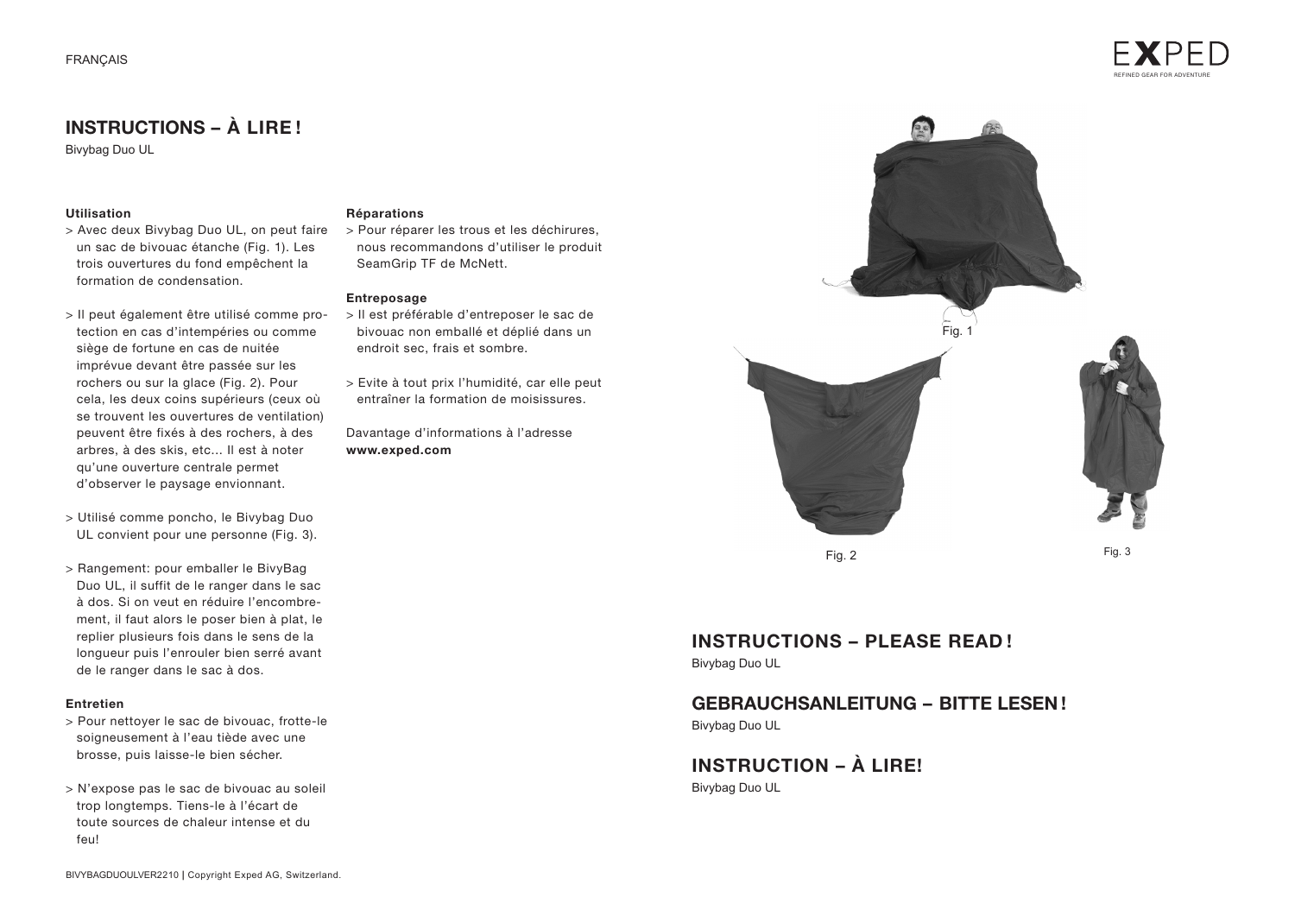

## **INSTRUCTIONS – À LIRE !**

Bivybag Duo UL

#### **Utilisation**

- > Avec deux Bivybag Duo UL, on peut faire un sac de bivouac étanche (Fig. 1). Les trois ouvertures du fond empêchent la formation de condensation.
- > Il peut également être utilisé comme protection en cas d'intempéries ou comme siège de fortune en cas de nuitée imprévue devant être passée sur les rochers ou sur la glace (Fig. 2). Pour cela, les deux coins supérieurs (ceux où se trouvent les ouvertures de ventilation) peuvent être fixés à des rochers, à des arbres, à des skis, etc... Il est à noter qu'une ouverture centrale permet d'observer le paysage envionnant.
- > Utilisé comme poncho, le Bivybag Duo UL convient pour une personne (Fig. 3).
- > Rangement: pour emballer le BivyBag Duo UL, il suffit de le ranger dans le sac à dos. Si on veut en réduire l'encombrement, il faut alors le poser bien à plat, le replier plusieurs fois dans le sens de la longueur puis l'enrouler bien serré avant de le ranger dans le sac à dos.

#### **Entretien**

- > Pour nettoyer le sac de bivouac, frotte-le soigneusement à l'eau tiède avec une brosse, puis laisse-le bien sécher.
- > N'expose pas le sac de bivouac au soleil trop longtemps. Tiens-le à l'écart de toute sources de chaleur intense et du feu!

#### **Réparations**

> Pour réparer les trous et les déchirures, nous recommandons d'utiliser le produit SeamGrip TF de McNett.

#### **Entreposage**

- > Il est préférable d'entreposer le sac de bivouac non emballé et déplié dans un endroit sec, frais et sombre.
- > Evite à tout prix l'humidité, car elle peut entraîner la formation de moisissures.

Davantage d'informations à l'adresse **www.exped.com**



### **INSTRUCTIONS – PLEASE READ !** Bivybag Duo UL

## **GEBRAUCHSANLEITUNG – BITTE LESEN !**

Bivybag Duo UL

# **INSTRUCTION – À LIRE!**

Bivybag Duo UL